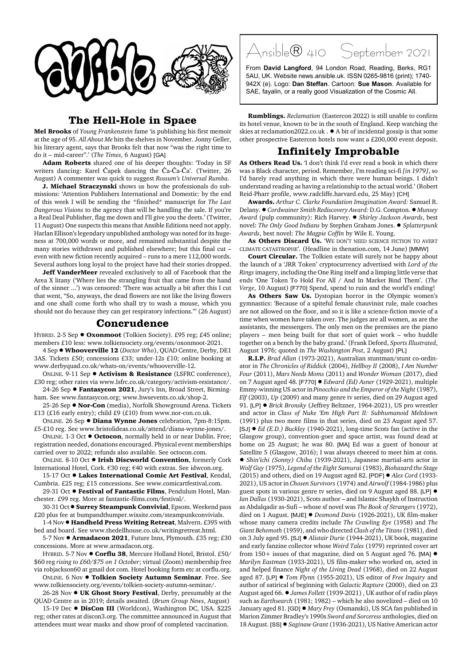

## **The Hell-Hole in Space**

**Mel Brooks** of *Young Frankenstein* fame 'is publishing his first memoir at the age of 95. *All About Me* hits the shelves in November. Jonny Geller, his literary agent, says that Brooks felt that now "was the right time to do it – mid-career".' (*The Times*, 6 August) [GA]

**Adam Roberts** shared one of his deeper thoughts: 'Today in SF writers dancing: Karel Čapek dancing the Ča-Ča-Ča'. (Twitter, 26 August) A commenter was quick to suggest *Rossum's Universal Rumba*.

**J. Michael Straczynski** shows us how the professionals do submissions: 'Attention Publishers International and Domestic: by the end of this week I will be sending the \*finished\* manuscript for *The Last Dangerous Visions* to the agency that will be handling the sale. If you're a Real Deal Publisher, flag me down and I'll give you the deets.' (Twitter, 11 August) One suspects this means that Ansible Editions need not apply. Harlan Ellison's legendary unpublished anthology was noted for its hugeness at 700,000 words or more, and remained substantial despite the many stories withdrawn and published elsewhere; but this final cut – even with new fiction recently acquired – runs to a mere 112,000 words. Several authors long loyal to the project have had their stories dropped.

**Jeff VanderMeer** revealed exclusively to all of Facebook that the Area X litany ('Where lies the strangling fruit that came from the hand of the sinner ...') was censored: 'There was actually a bit after this I cut that went, "So, anyways, the dead flowers are not like the living flowers and one shall come forth who shall try to wash a mouse, which you should not do because they can get respiratory infections."' (26 August)

## **Concrudence**

HYBRID. 2-5 Sep ● Oxonmoot (Tolkien Society). £95 reg; £45 online; members £10 less: www.tolkiensociety.org/events/oxonmoot-2021.

4 Sep ! **Whooverville 12** (*Doctor Who*), QUAD Centre, Derby, DE1 3AS. Tickets £50; concessions £33; under-12s £10; online booking at www.derbyquad.co.uk/whats-on/events/whooverville-12.

ONLINE. 9-11 Sep ! **Activism & Resistance** (LSFRC conference), £30 reg; other rates via www.lsfrc.co.uk/category/activism-resistance/.

24-26 Sep  $\bullet$  Fantasycon 2021, Jury's Inn, Broad Street, Birmingham. See www.fantasycon.org; www.hwsevents.co.uk/shop-2.

25-26 Sep ● **Nor-Con** (media), Norfolk Showground Arena. Tickets £13 (£16 early entry); child £9 (£10) from www.nor-con.co.uk.

ONLINE. 26 Sep ! **Diana Wynne Jones** celebration, 7pm-8:15pm. £5-£10 reg. See www.bristolideas.co.uk/attend/diana-wynne-jones/.

ONLINE. 1-3 Oct ● Octocon, normally held in or near Dublin. Free; registration needed, donations encouraged. Physical event memberships carried over to 2022; refunds also available. See octocon.com.

ONLINE. 8-10 Oct ! **Irish Discworld Convention**, formerly Cork International Hotel, Cork. €30 reg; €40 with extras. See idwcon.org.

15-17 Oct  $\bullet$  Lakes International Comic Art Festival, Kendal, Cumbria. £25 reg; £15 concessions. See www.comicartfestival.com.

29-31 Oct  $\bullet$  Festival of Fantastic Films, Pendulum Hotel, Manchester. £99 reg. More at fantastic-films.com/festival/.

30-31 Oct **· Surrey Steampunk Convivial**, Epsom. Weekend pass £20 plus fee at bumpandthumper.wixsite.com/steampunkconvivials.

1-4 Nov ! **Handheld Press Writing Retreat**, Malvern. £395 with bed and board. See www.thedellhouse.co.uk/writingretreat.html.

5-7 Nov  $\bullet$  Armadacon 2021, Future Inns, Plymouth. £35 reg; £30 concessions. More at www.armadacon.org.

HYBRID. 5-7 Nov  $\bullet$  Corflu 38, Mercure Holland Hotel, Bristol. £50/ \$60 reg *rising to £60/\$75 on 1 October*; virtual (Zoom) membership free via robjackson60 at gmail dot com. Hotel booking form etc at corflu.org.

ONLINE. 6 Nov ! **Tolkien Society Autumn Seminar**. Free. See www.tolkiensociety.org/events/tolkien-society-autumn-seminar/.

26-28 Nov  $\bullet$  UK Ghost Story Festival, Derby, presumably at the QUAD Centre as in 2019; details awaited. (*Brum Group News*, August)

15-19 Dec  $\bullet$  DisCon III (Worldcon), Washington DC, USA. \$225 reg; other rates at discon3.org. The committee announced in August that attendees must wear masks and show proof of completed vaccination.

Ansible® 410 September 2021

From **David Langford**, 94 London Road, Reading, Berks, RG1 5AU, UK. Website news.ansible.uk. ISSN 0265-9816 (print); 1740- 942X (e). Logo: **Dan Steffan**. Cartoon: **Sue Mason**. Available for SAE, fayalin, or a really good Visualization of the Cosmic All.

**Rumblings.** *Reclamation* (Eastercon 2022) is still unable to confirm its hotel venue, known to be in the south of England. Keep watching the skies at reclamation2022.co.uk .  $\bullet$  A bit of incidental gossip is that some other prospective Eastercon hotels now want a £200,000 event deposit.

## **Infinitely Improbable**

**As Others Read Us.** 'I don't think I'd ever read a book in which there was a Black character, period. Remember, I'm reading sci-fi *[in 1979]*, so I'd barely read anything in which there were human beings. I didn't understand reading as having a relationship to the actual world.' (Robert Reid-Pharr profile, www.radcliffe.harvard.edu, 25 May) [CH]

**Awards.** *Arthur C. Clarke Foundation Imagination Award:* Samuel R. Delany. ! *Cordwainer Smith Rediscovery Award:* D.G. Compton. ! *Munsey Award* (pulp community): Rich Harvey. ! *Shirley Jackson Awards*, best novel: *The Only Good Indians* by Stephen Graham Jones. ! *Splatterpunk Awards*, best novel: *The Magpie Coffin* by Wile E. Young.

As **Others Discard Us.** 'WE DON'T NEED SCIENCE FICTION TO AVERT CLIMATE CATASTROPHE'. (Headline in thenation.com, 14 June) [MMW]

**Court Circular.** The Tolkien estate will surely not be happy about the launch of a 'JRR Token' cryptocurrency advertised with *Lord of the Rings* imagery, including the One Ring itself and a limping little verse that ends 'One Token To Hold For All / And In Market Bind Them'. (*The Verge*, 10 August) [F770] Spend, spend to ruin and the world's ending!

**As Others Saw Us.** Dystopian horror in the Olympic women's gymnastics: 'Because of a spiteful female chauvinist rule, male coaches are not allowed on the floor, and so it is like a science-fiction movie of a time when women have taken over. The judges are all women, as are the assistants, the messengers. The only men on the premises are the piano players – men being built for that sort of quiet work – who huddle together on a bench by the baby grand.' (Frank Deford, *Sports Illustrated*, August 1976; quoted in *The Washington Post*, 2 August) [PL]

**R.I.P.** *Brad Allan* (1973-2021), Australian stuntman/stunt co-ordinator in *The Chronicles of Riddick* (2004), *Hellboy II* (2008), *I Am Number Four* (2011), *Mars Needs Moms* (2011) and *Wonder Woman* (2017), died on 7 August aged 48. [F770] ! *Edward (Ed) Asner* (1929-2021), multiple Emmy-winning US actor in *Pinocchio and the Emperor of the Night* (1987), *Elf* (2003), *Up* (2009) and many genre tv series, died on 29 August aged 91. [LP]  $\bullet$  *Brick Bronsky* (Jeffrey Beltzner, 1964-2021), US pro wrestler and actor in *Class of Nuke 'Em High Part II: Subhumanoid Meltdown* (1991) plus two more films in that series, died on 23 August aged 57. [SJ] ! *Ed (E.D.) Buckley* (1940-2021), long-time Scots fan (active in the Glasgow group), convention-goer and space artist, was found dead at home on 25 August; he was 80. [MA] Ed was a guest of honour at Satellite 5 (Glasgow, 2016); I was always cheered to meet him at cons. ! *Shin'ichi (Sonny) Chiba* (1939-2021), Japanese martial-arts actor in *Wolf Guy* (1975), *Legend of the Eight Samurai* (1983), *Biohazard the Stage* (2015) and others, died on 19 August aged 82. [PDF] ! *Alex Cord* (1933- 2021), US actor in *Chosen Survivors* (1974) and *Airwolf* (1984-1986) plus guest spots in various genre tv series, died on 9 August aged 88. [LP]  $\bullet$ *Ian Dallas* (1930-2021), Scots author – and Islamic Shaykh of Instruction as Abdalqadir as-Sufi – whose sf novel was *The Book of Strangers* (1972), died on 1 August. [MJE] ! *Desmond Davis* (1926-2021), UK film-maker whose many camera credits include *The Crawling Eye* (1958) and *The Giant Behemoth* (1959), and who directed *Clash of the Titans* (1981), died on 3 July aged 95. [SJ] ! *Alistair Durie* (1944-2021), UK book, magazine and early fanzine collector whose *Weird Tales* (1979) reprinted cover art from 150+ issues of that magazine, died on 5 August aged 76. [MA]  $\bullet$ *Marilyn Eastman* (1933-2021), US film-maker who worked on, acted in and helped finance *Night of the Living Dead* (1968), died on 22 August aged 87. [LP] ! *Tom Flynn* (1955-2021), US editor of *Free Inquiry* and author of satirical sf beginning with *Galactic Rapture* (2000), died on 23 August aged 66. ! *James Follett* (1939-2021) , UK author of sf radio plays such as *Earthsearch* (1981; 1982) – which he also novelized – died on 10 January aged 81. [GD]  $\bullet$  *Mary Frey* (Osmanski), US SCA fan published in Marion Zimmer Bradley's 1990s *Sword and Sorceress* anthologies, died on 18 August. [SS] ! *Saginaw Grant* (1936-2021), US Native American actor